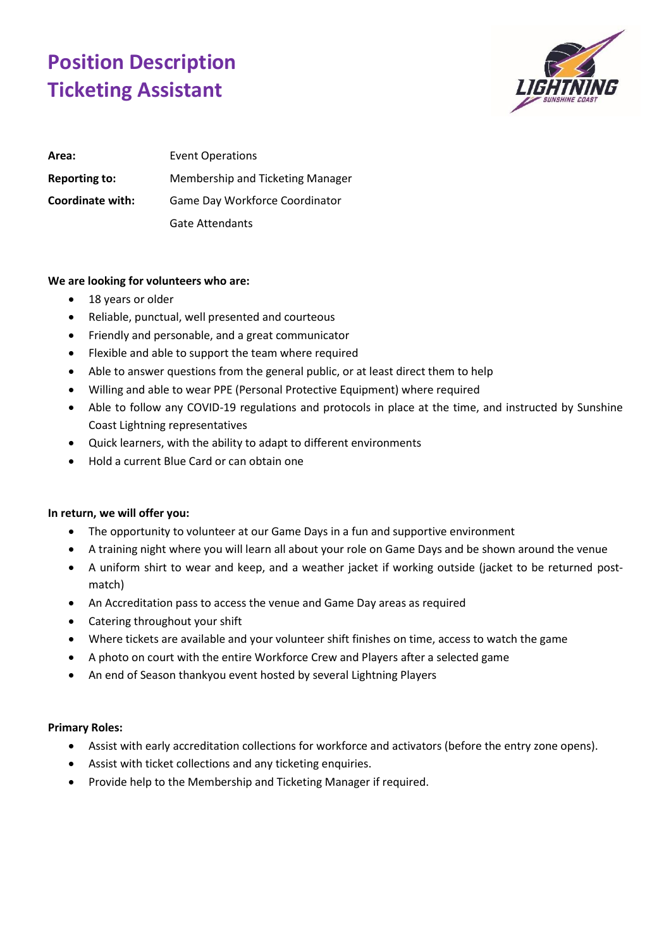## **Position Description Ticketing Assistant**



| Area:                | Event Operations                 |
|----------------------|----------------------------------|
| <b>Reporting to:</b> | Membership and Ticketing Manager |
| Coordinate with:     | Game Day Workforce Coordinator   |
|                      | <b>Gate Attendants</b>           |

## **We are looking for volunteers who are:**

- 18 years or older
- Reliable, punctual, well presented and courteous
- Friendly and personable, and a great communicator
- Flexible and able to support the team where required
- Able to answer questions from the general public, or at least direct them to help
- Willing and able to wear PPE (Personal Protective Equipment) where required
- Able to follow any COVID-19 regulations and protocols in place at the time, and instructed by Sunshine Coast Lightning representatives
- Quick learners, with the ability to adapt to different environments
- Hold a current Blue Card or can obtain one

## **In return, we will offer you:**

- The opportunity to volunteer at our Game Days in a fun and supportive environment
- A training night where you will learn all about your role on Game Days and be shown around the venue
- A uniform shirt to wear and keep, and a weather jacket if working outside (jacket to be returned postmatch)
- An Accreditation pass to access the venue and Game Day areas as required
- Catering throughout your shift
- Where tickets are available and your volunteer shift finishes on time, access to watch the game
- A photo on court with the entire Workforce Crew and Players after a selected game
- An end of Season thankyou event hosted by several Lightning Players

## **Primary Roles:**

- Assist with early accreditation collections for workforce and activators (before the entry zone opens).
- Assist with ticket collections and any ticketing enquiries.
- Provide help to the Membership and Ticketing Manager if required.